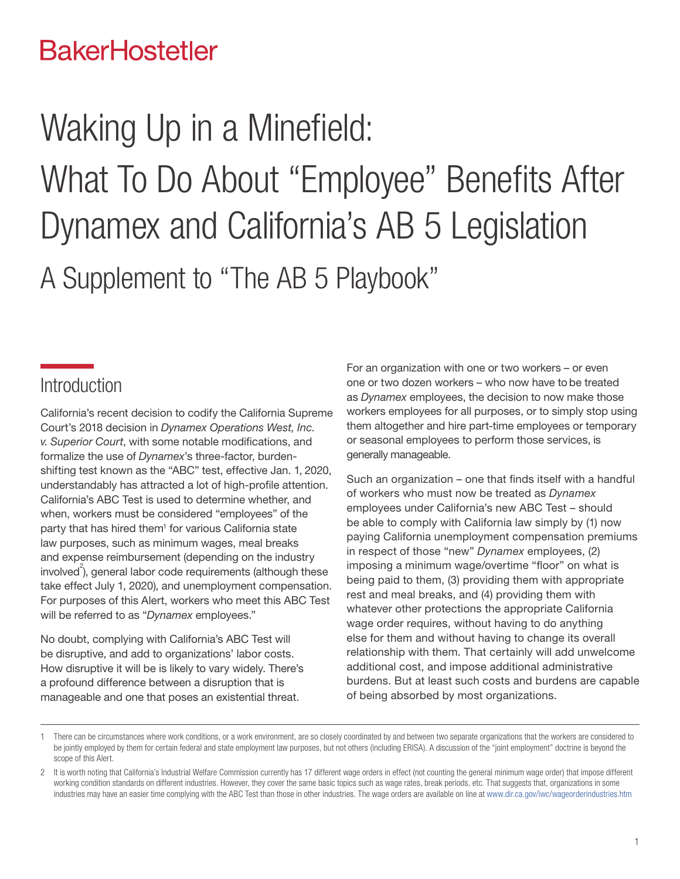# **BakerHostetler**

# Waking Up in a Minefield: What To Do About "Employee" Benefits After Dynamex and California's AB 5 Legislation A Supplement to "The AB 5 Playbook"

# **Introduction**

California's recent decision to codify the California Supreme Court's 2018 decision in *Dynamex Operations West, Inc. v. Superior Court*, with some notable modifications, and formalize the use of *Dynamex*'s three-factor, burdenshifting test known as the "ABC" test, effective Jan. 1, 2020, understandably has attracted a lot of high-profile attention. California's ABC Test is used to determine whether, and when, workers must be considered "employees" of the party that has hired them<sup>1</sup> for various California state law purposes, such as minimum wages, meal breaks and expense reimbursement (depending on the industry  $involved^2$ , general labor code requirements (although these take effect July 1, 2020), and unemployment compensation. For purposes of this Alert, workers who meet this ABC Test will be referred to as "*Dynamex* employees."

No doubt, complying with California's ABC Test will be disruptive, and add to organizations' labor costs. How disruptive it will be is likely to vary widely. There's a profound difference between a disruption that is manageable and one that poses an existential threat.

For an organization with one or two workers – or even one or two dozen workers – who now have to be treated as *Dynamex* employees, the decision to now make those workers employees for all purposes, or to simply stop using them altogether and hire part-time employees or temporary or seasonal employees to perform those services, is generally manageable.

Such an organization – one that finds itself with a handful of workers who must now be treated as *Dynamex* employees under California's new ABC Test – should be able to comply with California law simply by (1) now paying California unemployment compensation premiums in respect of those "new" *Dynamex* employees, (2) imposing a minimum wage/overtime "floor" on what is being paid to them, (3) providing them with appropriate rest and meal breaks, and (4) providing them with whatever other protections the appropriate California wage order requires, without having to do anything else for them and without having to change its overall relationship with them. That certainly will add unwelcome additional cost, and impose additional administrative burdens. But at least such costs and burdens are capable of being absorbed by most organizations.

<sup>1</sup> There can be circumstances where work conditions, or a work environment, are so closely coordinated by and between two separate organizations that the workers are considered to be jointly employed by them for certain federal and state employment law purposes, but not others (including ERISA). A discussion of the "joint employment" doctrine is beyond the scope of this Alert.

<sup>2</sup> It is worth noting that California's Industrial Welfare Commission currently has 17 different wage orders in effect (not counting the general minimum wage order) that impose different working condition standards on different industries. However, they cover the same basic topics such as wage rates, break periods, etc. That suggests that, organizations in some industries may have an easier time complying with the ABC Test than those in other industries. The wage orders are available on line at [www.dir.ca.gov/iwc/wageorderindustries.htm](http://www.dir.ca.gov/iwc/wageorderindustries.htm)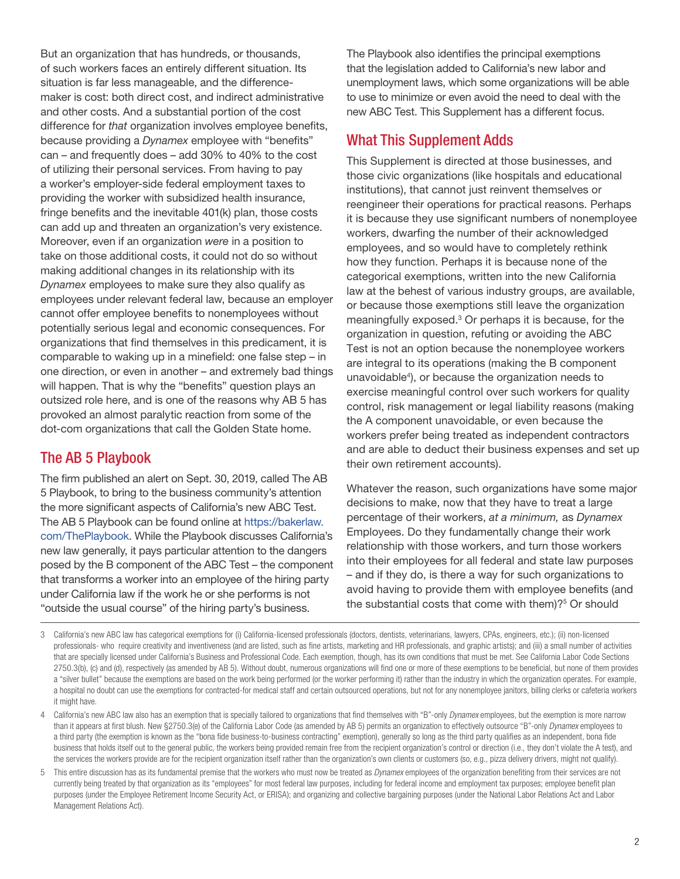But an organization that has hundreds, or thousands, of such workers faces an entirely different situation. Its situation is far less manageable, and the differencemaker is cost: both direct cost, and indirect administrative and other costs. And a substantial portion of the cost difference for *that* organization involves employee benefits, because providing a *Dynamex* employee with "benefits" can – and frequently does – add 30% to 40% to the cost of utilizing their personal services. From having to pay a worker's employer-side federal employment taxes to providing the worker with subsidized health insurance, fringe benefits and the inevitable 401(k) plan, those costs can add up and threaten an organization's very existence. Moreover, even if an organization *were* in a position to take on those additional costs, it could not do so without making additional changes in its relationship with its *Dynamex* employees to make sure they also qualify as employees under relevant federal law, because an employer cannot offer employee benefits to nonemployees without potentially serious legal and economic consequences. For organizations that find themselves in this predicament, it is comparable to waking up in a minefield: one false step – in one direction, or even in another – and extremely bad things will happen. That is why the "benefits" question plays an outsized role here, and is one of the reasons why AB 5 has provoked an almost paralytic reaction from some of the dot-com organizations that call the Golden State home.

#### The AB 5 Playbook

The firm published an alert on Sept. 30, 2019, called The AB 5 Playbook, to bring to the business community's attention the more significant aspects of California's new ABC Test. The AB 5 Playbook can be found online at [https://bakerlaw.](https://bakerlaw.com/ThePlaybook) [com/ThePlaybook](https://bakerlaw.com/ThePlaybook). While the Playbook discusses California's new law generally, it pays particular attention to the dangers posed by the B component of the ABC Test – the component that transforms a worker into an employee of the hiring party under California law if the work he or she performs is not "outside the usual course" of the hiring party's business.

The Playbook also identifies the principal exemptions that the legislation added to California's new labor and unemployment laws, which some organizations will be able to use to minimize or even avoid the need to deal with the new ABC Test. This Supplement has a different focus.

#### What This Supplement Adds

This Supplement is directed at those businesses, and those civic organizations (like hospitals and educational institutions), that cannot just reinvent themselves or reengineer their operations for practical reasons. Perhaps it is because they use significant numbers of nonemployee workers, dwarfing the number of their acknowledged employees, and so would have to completely rethink how they function. Perhaps it is because none of the categorical exemptions, written into the new California law at the behest of various industry groups, are available, or because those exemptions still leave the organization meaningfully exposed.<sup>3</sup> Or perhaps it is because, for the organization in question, refuting or avoiding the ABC Test is not an option because the nonemployee workers are integral to its operations (making the B component unavoidable4 ), or because the organization needs to exercise meaningful control over such workers for quality control, risk management or legal liability reasons (making the A component unavoidable, or even because the workers prefer being treated as independent contractors and are able to deduct their business expenses and set up their own retirement accounts).

Whatever the reason, such organizations have some major decisions to make, now that they have to treat a large percentage of their workers, *at a minimum,* as *Dynamex*  Employees. Do they fundamentally change their work relationship with those workers, and turn those workers into their employees for all federal and state law purposes – and if they do, is there a way for such organizations to avoid having to provide them with employee benefits (and the substantial costs that come with them)? $5$  Or should

<sup>3</sup> California's new ABC law has categorical exemptions for (i) California-licensed professionals (doctors, dentists, veterinarians, lawyers, CPAs, engineers, etc.); (ii) non-licensed professionals- who require creativity and inventiveness (and are listed, such as fine artists, marketing and HR professionals, and graphic artists); and (iii) a small number of activities that are specially licensed under California's Business and Professional Code. Each exemption, though, has its own conditions that must be met. See California Labor Code Sections 2750.3(b), (c) and (d), respectively (as amended by AB 5). Without doubt, numerous organizations will find one or more of these exemptions to be beneficial, but none of them provides a "silver bullet" because the exemptions are based on the work being performed (or the worker performing it) rather than the industry in which the organization operates. For example, a hospital no doubt can use the exemptions for contracted-for medical staff and certain outsourced operations, but not for any nonemployee janitors, billing clerks or cafeteria workers it might have.

<sup>4</sup> California's new ABC law also has an exemption that is specially tailored to organizations that find themselves with "B"-only *Dynamex* employees, but the exemption is more narrow than it appears at first blush. New §2750.3(e) of the California Labor Code (as amended by AB 5) permits an organization to effectively outsource "B"-only *Dynamex* employees to a third party (the exemption is known as the "bona fide business-to-business contracting" exemption), generally so long as the third party qualifies as an independent, bona fide business that holds itself out to the general public, the workers being provided remain free from the recipient organization's control or direction (i.e., they don't violate the A test), and the services the workers provide are for the recipient organization itself rather than the organization's own clients or customers (so, e.g., pizza delivery drivers, might not qualify).

<sup>5</sup> This entire discussion has as its fundamental premise that the workers who must now be treated as *Dynamex* employees of the organization benefiting from their services are not currently being treated by that organization as its "employees" for most federal law purposes, including for federal income and employment tax purposes; employee benefit plan purposes (under the Employee Retirement Income Security Act, or ERISA); and organizing and collective bargaining purposes (under the National Labor Relations Act and Labor Management Relations Act).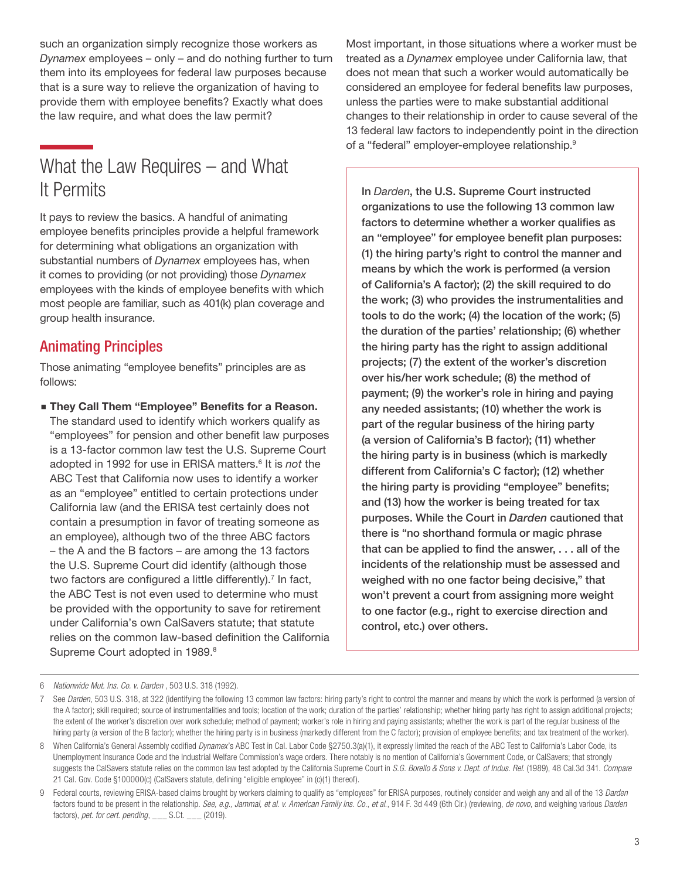such an organization simply recognize those workers as *Dynamex* employees – only – and do nothing further to turn them into its employees for federal law purposes because that is a sure way to relieve the organization of having to provide them with employee benefits? Exactly what does the law require, and what does the law permit?

# What the Law Requires – and What It Permits

It pays to review the basics. A handful of animating employee benefits principles provide a helpful framework for determining what obligations an organization with substantial numbers of *Dynamex* employees has, when it comes to providing (or not providing) those *Dynamex*  employees with the kinds of employee benefits with which most people are familiar, such as 401(k) plan coverage and group health insurance.

#### Animating Principles

Those animating "employee benefits" principles are as follows:

**Example 2 They Call Them "Employee" Benefits for a Reason.** The standard used to identify which workers qualify as "employees" for pension and other benefit law purposes is a 13-factor common law test the U.S. Supreme Court adopted in 1992 for use in ERISA matters.<sup>6</sup> It is *not* the ABC Test that California now uses to identify a worker as an "employee" entitled to certain protections under California law (and the ERISA test certainly does not contain a presumption in favor of treating someone as an employee), although two of the three ABC factors – the A and the B factors – are among the 13 factors the U.S. Supreme Court did identify (although those two factors are configured a little differently).<sup>7</sup> In fact, the ABC Test is not even used to determine who must be provided with the opportunity to save for retirement under California's own CalSavers statute; that statute relies on the common law-based definition the California Supreme Court adopted in 1989.<sup>8</sup>

Most important, in those situations where a worker must be treated as a *Dynamex* employee under California law, that does not mean that such a worker would automatically be considered an employee for federal benefits law purposes, unless the parties were to make substantial additional changes to their relationship in order to cause several of the 13 federal law factors to independently point in the direction of a "federal" employer-employee relationship.<sup>9</sup>

In *Darden*, the U.S. Supreme Court instructed organizations to use the following 13 common law factors to determine whether a worker qualifies as an "employee" for employee benefit plan purposes: (1) the hiring party's right to control the manner and means by which the work is performed (a version of California's A factor); (2) the skill required to do the work; (3) who provides the instrumentalities and tools to do the work; (4) the location of the work; (5) the duration of the parties' relationship; (6) whether the hiring party has the right to assign additional projects; (7) the extent of the worker's discretion over his/her work schedule; (8) the method of payment; (9) the worker's role in hiring and paying any needed assistants; (10) whether the work is part of the regular business of the hiring party (a version of California's B factor); (11) whether the hiring party is in business (which is markedly different from California's C factor); (12) whether the hiring party is providing "employee" benefits; and (13) how the worker is being treated for tax purposes. While the Court in *Darden* cautioned that there is "no shorthand formula or magic phrase that can be applied to find the answer, . . . all of the incidents of the relationship must be assessed and weighed with no one factor being decisive," that won't prevent a court from assigning more weight to one factor (e.g., right to exercise direction and control, etc.) over others.

<sup>6</sup> *Nationwide Mut. Ins. Co. v. Darden* , 503 U.S. 318 (1992).

<sup>7</sup> See Darden, 503 U.S. 318, at 322 (identifying the following 13 common law factors: hiring party's right to control the manner and means by which the work is performed (a version of the A factor); skill required; source of instrumentalities and tools; location of the work; duration of the parties' relationship; whether hiring party has right to assign additional projects; the extent of the worker's discretion over work schedule; method of payment; worker's role in hiring and paying assistants; whether the work is part of the regular business of the hiring party (a version of the B factor); whether the hiring party is in business (markedly different from the C factor); provision of employee benefits; and tax treatment of the worker).

<sup>8</sup> When California's General Assembly codified *Dynamex*'s ABC Test in Cal. Labor Code §2750.3(a)(1), it expressly limited the reach of the ABC Test to California's Labor Code, its Unemployment Insurance Code and the Industrial Welfare Commission's wage orders. There notably is no mention of California's Government Code, or CalSavers; that strongly suggests the CalSavers statute relies on the common law test adopted by the California Supreme Court in *S.G. Borello & Sons v. Dept. of Indus. Rel.* (1989), 48 Cal.3d 341. *Compare*  21 Cal. Gov. Code §100000(c) (CalSavers statute, defining "eligible employee" in (c)(1) thereof).

<sup>9</sup> Federal courts, reviewing ERISA-based claims brought by workers claiming to qualify as "employees" for ERISA purposes, routinely consider and weigh any and all of the 13 *Darden*  factors found to be present in the relationship. *See, e.g., Jammal, et al. v. American Family Ins. Co*., *et al.*, 914 F. 3d 449 (6th Cir.) (reviewing, *de novo*, and weighing various *Darden*  factors), *pet. for cert. pending*, \_\_\_ S.Ct. \_\_\_ (2019).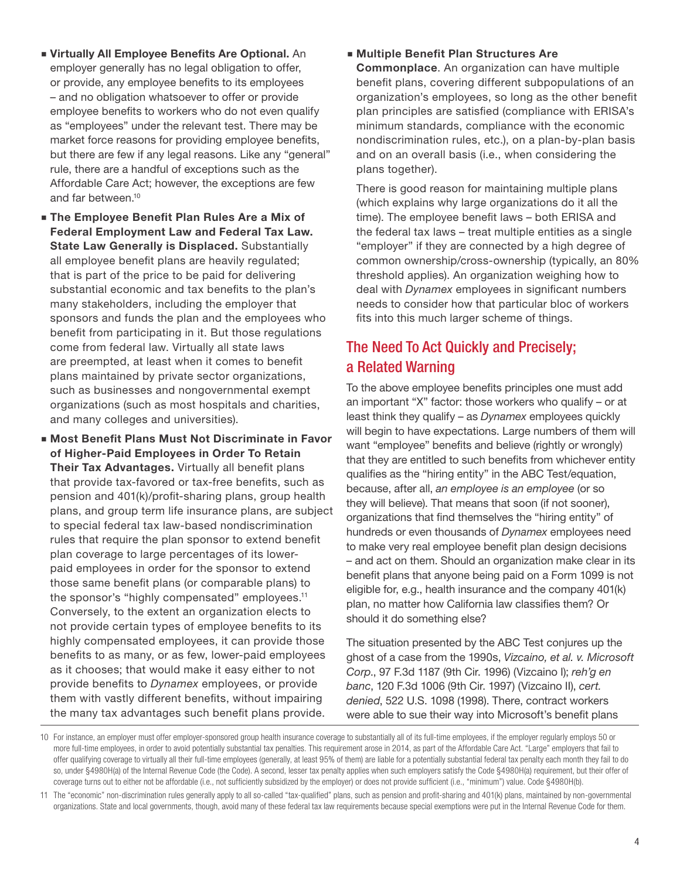- **E** Virtually All Employee Benefits Are Optional. An employer generally has no legal obligation to offer, or provide, any employee benefits to its employees – and no obligation whatsoever to offer or provide employee benefits to workers who do not even qualify as "employees" under the relevant test. There may be market force reasons for providing employee benefits, but there are few if any legal reasons. Like any "general" rule, there are a handful of exceptions such as the Affordable Care Act; however, the exceptions are few and far between.10
- **The Employee Benefit Plan Rules Are a Mix of** Federal Employment Law and Federal Tax Law. State Law Generally is Displaced. Substantially all employee benefit plans are heavily regulated; that is part of the price to be paid for delivering substantial economic and tax benefits to the plan's many stakeholders, including the employer that sponsors and funds the plan and the employees who benefit from participating in it. But those regulations come from federal law. Virtually all state laws are preempted, at least when it comes to benefit plans maintained by private sector organizations, such as businesses and nongovernmental exempt organizations (such as most hospitals and charities, and many colleges and universities).
- **Most Benefit Plans Must Not Discriminate in Favor** of Higher-Paid Employees in Order To Retain Their Tax Advantages. Virtually all benefit plans that provide tax-favored or tax-free benefits, such as pension and 401(k)/profit-sharing plans, group health plans, and group term life insurance plans, are subject to special federal tax law-based nondiscrimination rules that require the plan sponsor to extend benefit plan coverage to large percentages of its lowerpaid employees in order for the sponsor to extend those same benefit plans (or comparable plans) to the sponsor's "highly compensated" employees.<sup>11</sup> Conversely, to the extent an organization elects to not provide certain types of employee benefits to its highly compensated employees, it can provide those benefits to as many, or as few, lower-paid employees as it chooses; that would make it easy either to not provide benefits to *Dynamex* employees, or provide them with vastly different benefits, without impairing the many tax advantages such benefit plans provide.

#### **Multiple Benefit Plan Structures Are**

Commonplace. An organization can have multiple benefit plans, covering different subpopulations of an organization's employees, so long as the other benefit plan principles are satisfied (compliance with ERISA's minimum standards, compliance with the economic nondiscrimination rules, etc.), on a plan-by-plan basis and on an overall basis (i.e., when considering the plans together).

There is good reason for maintaining multiple plans (which explains why large organizations do it all the time). The employee benefit laws – both ERISA and the federal tax laws – treat multiple entities as a single "employer" if they are connected by a high degree of common ownership/cross-ownership (typically, an 80% threshold applies). An organization weighing how to deal with *Dynamex* employees in significant numbers needs to consider how that particular bloc of workers fits into this much larger scheme of things.

#### The Need To Act Quickly and Precisely; a Related Warning

To the above employee benefits principles one must add an important "X" factor: those workers who qualify – or at least think they qualify – as *Dynamex* employees quickly will begin to have expectations. Large numbers of them will want "employee" benefits and believe (rightly or wrongly) that they are entitled to such benefits from whichever entity qualifies as the "hiring entity" in the ABC Test/equation, because, after all, *an employee is an employee* (or so they will believe). That means that soon (if not sooner), organizations that find themselves the "hiring entity" of hundreds or even thousands of *Dynamex* employees need to make very real employee benefit plan design decisions – and act on them. Should an organization make clear in its benefit plans that anyone being paid on a Form 1099 is not eligible for, e.g., health insurance and the company 401(k) plan, no matter how California law classifies them? Or should it do something else?

The situation presented by the ABC Test conjures up the ghost of a case from the 1990s, *Vizcaino, et al. v. Microsoft Corp*., 97 F.3d 1187 (9th Cir. 1996) (Vizcaino I); *reh'g en banc*, 120 F.3d 1006 (9th Cir. 1997) (Vizcaino II), *cert. denied*, 522 U.S. 1098 (1998). There, contract workers were able to sue their way into Microsoft's benefit plans

<sup>10</sup> For instance, an employer must offer employer-sponsored group health insurance coverage to substantially all of its full-time employees, if the employer regularly employs 50 or more full-time employees, in order to avoid potentially substantial tax penalties. This requirement arose in 2014, as part of the Affordable Care Act. "Large" employers that fail to offer qualifying coverage to virtually all their full-time employees (generally, at least 95% of them) are liable for a potentially substantial federal tax penalty each month they fail to do so, under §4980H(a) of the Internal Revenue Code (the Code). A second, lesser tax penalty applies when such employers satisfy the Code §4980H(a) requirement, but their offer of coverage turns out to either not be affordable (i.e., not sufficiently subsidized by the employer) or does not provide sufficient (i.e., "minimum") value. Code §4980H(b).

<sup>11</sup> The "economic" non-discrimination rules generally apply to all so-called "tax-qualified" plans, such as pension and profit-sharing and 401(k) plans, maintained by non-governmental organizations. State and local governments, though, avoid many of these federal tax law requirements because special exemptions were put in the Internal Revenue Code for them.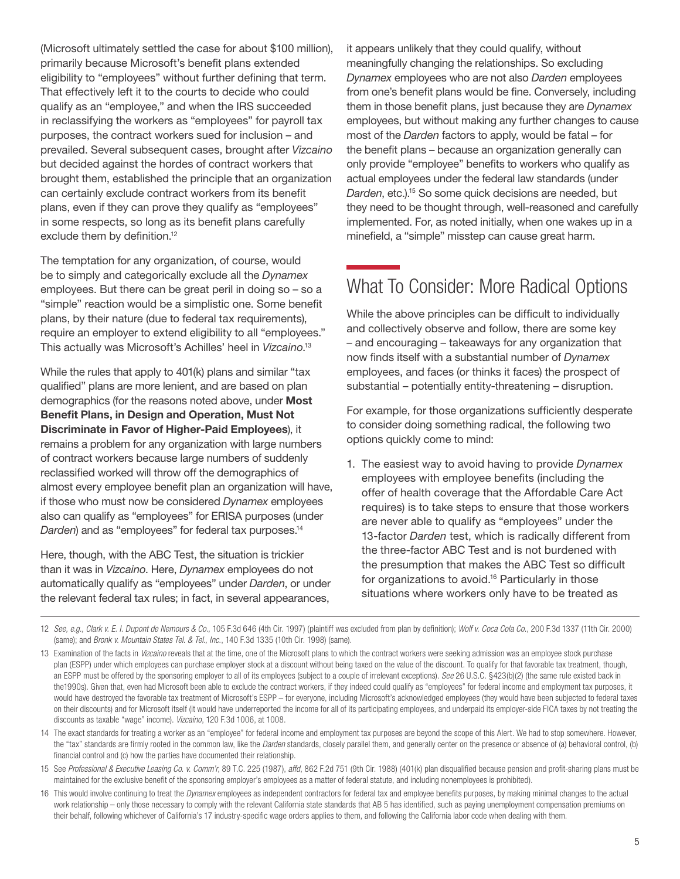(Microsoft ultimately settled the case for about \$100 million), primarily because Microsoft's benefit plans extended eligibility to "employees" without further defining that term. That effectively left it to the courts to decide who could qualify as an "employee," and when the IRS succeeded in reclassifying the workers as "employees" for payroll tax purposes, the contract workers sued for inclusion – and prevailed. Several subsequent cases, brought after *Vizcaino*  but decided against the hordes of contract workers that brought them, established the principle that an organization can certainly exclude contract workers from its benefit plans, even if they can prove they qualify as "employees" in some respects, so long as its benefit plans carefully exclude them by definition.<sup>12</sup>

The temptation for any organization, of course, would be to simply and categorically exclude all the *Dynamex*  employees. But there can be great peril in doing so – so a "simple" reaction would be a simplistic one. Some benefit plans, by their nature (due to federal tax requirements), require an employer to extend eligibility to all "employees." This actually was Microsoft's Achilles' heel in *Vizcaino*. 13

While the rules that apply to 401(k) plans and similar "tax qualified" plans are more lenient, and are based on plan demographics (for the reasons noted above, under **Most** Benefit Plans, in Design and Operation, Must Not Discriminate in Favor of Higher-Paid Employees), it remains a problem for any organization with large numbers of contract workers because large numbers of suddenly reclassified worked will throw off the demographics of almost every employee benefit plan an organization will have, if those who must now be considered *Dynamex* employees also can qualify as "employees" for ERISA purposes (under *Darden*) and as "employees" for federal tax purposes.14

Here, though, with the ABC Test, the situation is trickier than it was in *Vizcaino*. Here, *Dynamex* employees do not automatically qualify as "employees" under *Darden*, or under the relevant federal tax rules; in fact, in several appearances,

it appears unlikely that they could qualify, without meaningfully changing the relationships. So excluding *Dynamex* employees who are not also *Darden* employees from one's benefit plans would be fine. Conversely, including them in those benefit plans, just because they are *Dynamex*  employees, but without making any further changes to cause most of the *Darden* factors to apply, would be fatal – for the benefit plans – because an organization generally can only provide "employee" benefits to workers who qualify as actual employees under the federal law standards (under *Darden*, etc.).15 So some quick decisions are needed, but they need to be thought through, well-reasoned and carefully implemented. For, as noted initially, when one wakes up in a minefield, a "simple" misstep can cause great harm.

# What To Consider: More Radical Options

While the above principles can be difficult to individually and collectively observe and follow, there are some key – and encouraging – takeaways for any organization that now finds itself with a substantial number of *Dynamex*  employees, and faces (or thinks it faces) the prospect of substantial – potentially entity-threatening – disruption.

For example, for those organizations sufficiently desperate to consider doing something radical, the following two options quickly come to mind:

1. The easiest way to avoid having to provide *Dynamex*  employees with employee benefits (including the offer of health coverage that the Affordable Care Act requires) is to take steps to ensure that those workers are never able to qualify as "employees" under the 13-factor *Darden* test, which is radically different from the three-factor ABC Test and is not burdened with the presumption that makes the ABC Test so difficult for organizations to avoid.<sup>16</sup> Particularly in those situations where workers only have to be treated as

14 The exact standards for treating a worker as an "employee" for federal income and employment tax purposes are beyond the scope of this Alert. We had to stop somewhere. However, the "tax" standards are firmly rooted in the common law, like the *Darden* standards, closely parallel them, and generally center on the presence or absence of (a) behavioral control, (b) financial control and (c) how the parties have documented their relationship.

15 See *Professional & Executive Leasing Co. v. Comm'r*, 89 T.C. 225 (1987), *affd*, 862 F.2d 751 (9th Cir. 1988) (401(k) plan disqualified because pension and profit-sharing plans must be maintained for the exclusive benefit of the sponsoring employer's employees as a matter of federal statute, and including nonemployees is prohibited).

16 This would involve continuing to treat the *Dynamex* employees as independent contractors for federal tax and employee benefits purposes, by making minimal changes to the actual work relationship - only those necessary to comply with the relevant California state standards that AB 5 has identified, such as paying unemployment compensation premiums on their behalf, following whichever of California's 17 industry-specific wage orders applies to them, and following the California labor code when dealing with them.

<sup>12</sup> *See, e.g., Clark v. E. I. Dupont de Nemours & Co.,* 105 F.3d 646 (4th Cir. 1997) (plaintiff was excluded from plan by definition); *Wolf v. Coca Cola Co*., 200 F.3d 1337 (11th Cir. 2000) (same); and *Bronk v. Mountain States Tel. & Tel., Inc.*, 140 F.3d 1335 (10th Cir. 1998) (same).

<sup>13</sup> Examination of the facts in *Vizcaino* reveals that at the time, one of the Microsoft plans to which the contract workers were seeking admission was an employee stock purchase plan (ESPP) under which employees can purchase employer stock at a discount without being taxed on the value of the discount. To qualify for that favorable tax treatment, though, an ESPP must be offered by the sponsoring employer to all of its employees (subject to a couple of irrelevant exceptions). *See* 26 U.S.C. §423(b)(2) (the same rule existed back in the1990s). Given that, even had Microsoft been able to exclude the contract workers, if they indeed could qualify as "employees" for federal income and employment tax purposes, it would have destroyed the favorable tax treatment of Microsoft's ESPP – for everyone, including Microsoft's acknowledged employees (they would have been subjected to federal taxes on their discounts) and for Microsoft itself (it would have underreported the income for all of its participating employees, and underpaid its employer-side FICA taxes by not treating the discounts as taxable "wage" income). *Vizcaino*, 120 F.3d 1006, at 1008.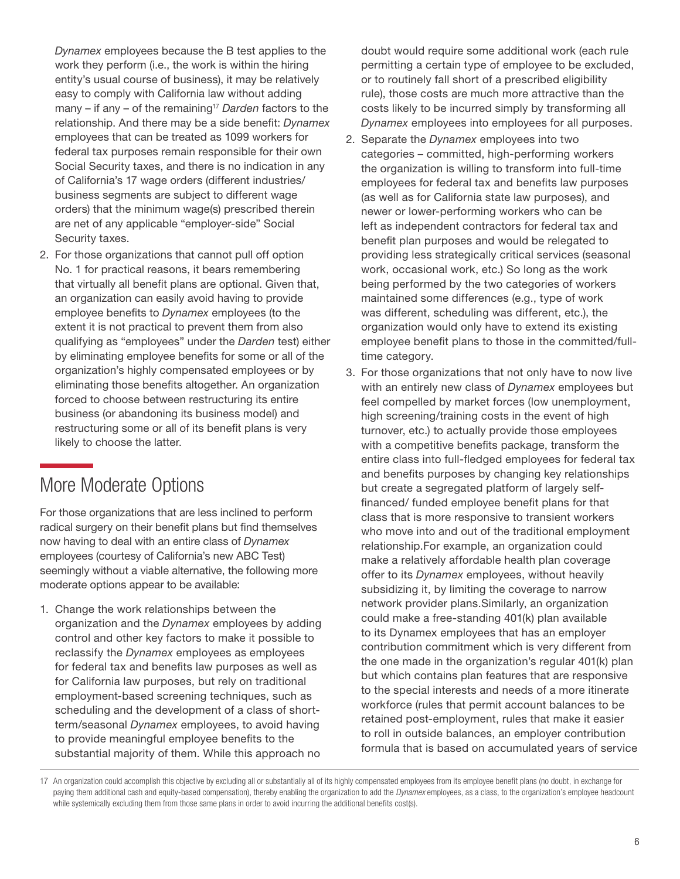*Dynamex* employees because the B test applies to the work they perform (i.e., the work is within the hiring entity's usual course of business), it may be relatively easy to comply with California law without adding many – if any – of the remaining<sup>17</sup> Darden factors to the relationship. And there may be a side benefit: *Dynamex*  employees that can be treated as 1099 workers for federal tax purposes remain responsible for their own Social Security taxes, and there is no indication in any of California's 17 wage orders (different industries/ business segments are subject to different wage orders) that the minimum wage(s) prescribed therein are net of any applicable "employer-side" Social Security taxes.

2. For those organizations that cannot pull off option No. 1 for practical reasons, it bears remembering that virtually all benefit plans are optional. Given that, an organization can easily avoid having to provide employee benefits to *Dynamex* employees (to the extent it is not practical to prevent them from also qualifying as "employees" under the *Darden* test) either by eliminating employee benefits for some or all of the organization's highly compensated employees or by eliminating those benefits altogether. An organization forced to choose between restructuring its entire business (or abandoning its business model) and restructuring some or all of its benefit plans is very likely to choose the latter.

# More Moderate Options

For those organizations that are less inclined to perform radical surgery on their benefit plans but find themselves now having to deal with an entire class of *Dynamex* employees (courtesy of California's new ABC Test) seemingly without a viable alternative, the following more moderate options appear to be available:

1. Change the work relationships between the organization and the *Dynamex* employees by adding control and other key factors to make it possible to reclassify the *Dynamex* employees as employees for federal tax and benefits law purposes as well as for California law purposes, but rely on traditional employment-based screening techniques, such as scheduling and the development of a class of shortterm/seasonal *Dynamex* employees, to avoid having to provide meaningful employee benefits to the substantial majority of them. While this approach no

doubt would require some additional work (each rule permitting a certain type of employee to be excluded, or to routinely fall short of a prescribed eligibility rule), those costs are much more attractive than the costs likely to be incurred simply by transforming all *Dynamex* employees into employees for all purposes.

- 2. Separate the *Dynamex* employees into two categories – committed, high-performing workers the organization is willing to transform into full-time employees for federal tax and benefits law purposes (as well as for California state law purposes), and newer or lower-performing workers who can be left as independent contractors for federal tax and benefit plan purposes and would be relegated to providing less strategically critical services (seasonal work, occasional work, etc.) So long as the work being performed by the two categories of workers maintained some differences (e.g., type of work was different, scheduling was different, etc.), the organization would only have to extend its existing employee benefit plans to those in the committed/fulltime category.
- 3. For those organizations that not only have to now live with an entirely new class of *Dynamex* employees but feel compelled by market forces (low unemployment, high screening/training costs in the event of high turnover, etc.) to actually provide those employees with a competitive benefits package, transform the entire class into full-fledged employees for federal tax and benefits purposes by changing key relationships but create a segregated platform of largely selffinanced/ funded employee benefit plans for that class that is more responsive to transient workers who move into and out of the traditional employment relationship.For example, an organization could make a relatively affordable health plan coverage offer to its *Dynamex* employees, without heavily subsidizing it, by limiting the coverage to narrow network provider plans.Similarly, an organization could make a free-standing 401(k) plan available to its Dynamex employees that has an employer contribution commitment which is very different from the one made in the organization's regular 401(k) plan but which contains plan features that are responsive to the special interests and needs of a more itinerate workforce (rules that permit account balances to be retained post-employment, rules that make it easier to roll in outside balances, an employer contribution formula that is based on accumulated years of service

<sup>17</sup> An organization could accomplish this objective by excluding all or substantially all of its highly compensated employees from its employee benefit plans (no doubt, in exchange for paying them additional cash and equity-based compensation), thereby enabling the organization to add the *Dynamex* employees, as a class, to the organization's employee headcount while systemically excluding them from those same plans in order to avoid incurring the additional benefits cost(s).